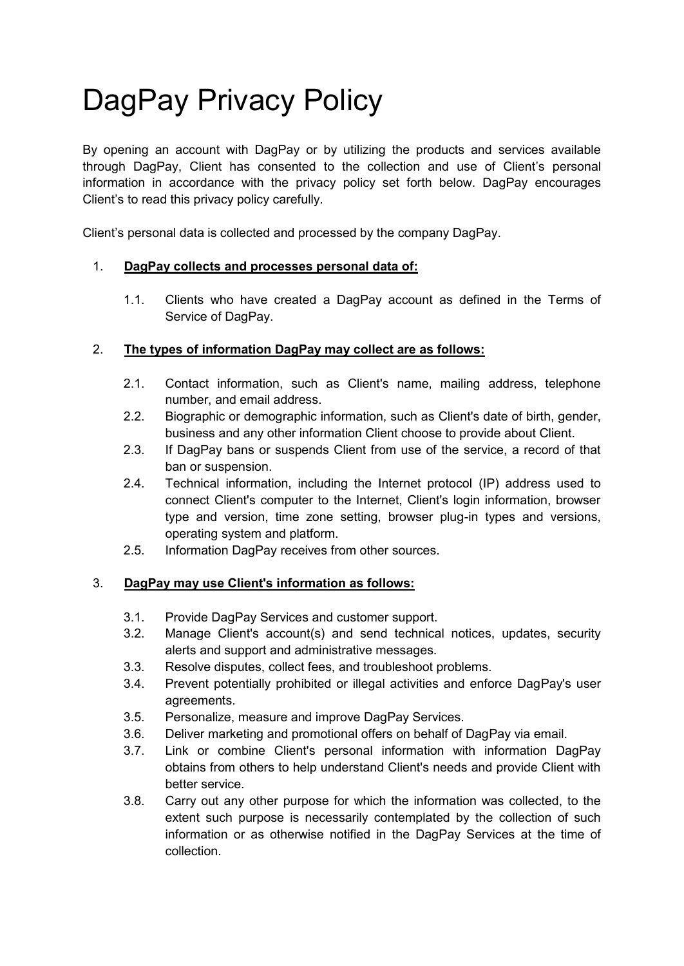# DagPay Privacy Policy

By opening an account with DagPay or by utilizing the products and services available through DagPay, Client has consented to the collection and use of Client's personal information in accordance with the privacy policy set forth below. DagPay encourages Client's to read this privacy policy carefully.

Client's personal data is collected and processed by the company DagPay.

#### 1. **DagPay collects and processes personal data of:**

1.1. Clients who have created a DagPay account as defined in the Terms of Service of DagPay.

## 2. **The types of information DagPay may collect are as follows:**

- 2.1. Contact information, such as Client's name, mailing address, telephone number, and email address.
- 2.2. Biographic or demographic information, such as Client's date of birth, gender, business and any other information Client choose to provide about Client.
- 2.3. If DagPay bans or suspends Client from use of the service, a record of that ban or suspension.
- 2.4. Technical information, including the Internet protocol (IP) address used to connect Client's computer to the Internet, Client's login information, browser type and version, time zone setting, browser plug-in types and versions, operating system and platform.
- 2.5. Information DagPay receives from other sources.

## 3. **DagPay may use Client's information as follows:**

- 3.1. Provide DagPay Services and customer support.
- 3.2. Manage Client's account(s) and send technical notices, updates, security alerts and support and administrative messages.
- 3.3. Resolve disputes, collect fees, and troubleshoot problems.
- 3.4. Prevent potentially prohibited or illegal activities and enforce DagPay's user agreements.
- 3.5. Personalize, measure and improve DagPay Services.
- 3.6. Deliver marketing and promotional offers on behalf of DagPay via email.
- 3.7. Link or combine Client's personal information with information DagPay obtains from others to help understand Client's needs and provide Client with better service.
- 3.8. Carry out any other purpose for which the information was collected, to the extent such purpose is necessarily contemplated by the collection of such information or as otherwise notified in the DagPay Services at the time of collection.